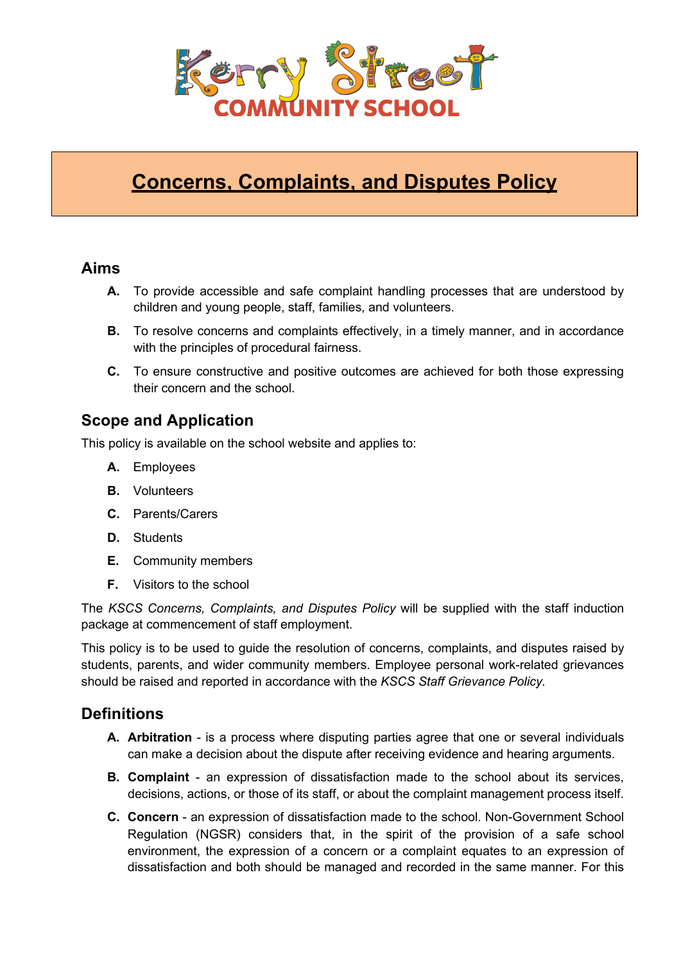

# **Concerns, Complaints, and Disputes Policy**

### **Aims**

- **A.** To provide accessible and safe complaint handling processes that are understood by children and young people, staff, families, and volunteers.
- **B.** To resolve concerns and complaints effectively, in a timely manner, and in accordance with the principles of procedural fairness.
- **C.** To ensure constructive and positive outcomes are achieved for both those expressing their concern and the school.

# **Scope and Application**

This policy is available on the school website and applies to:

- **A.** Employees
- **B.** Volunteers
- **C.** Parents/Carers
- **D.** Students
- **E.** Community members
- **F.** Visitors to the school

The *KSCS Concerns, Complaints, and Disputes Policy* will be supplied with the staff induction package at commencement of staff employment.

This policy is to be used to guide the resolution of concerns, complaints, and disputes raised by students, parents, and wider community members. Employee personal work-related grievances should be raised and reported in accordance with the *KSCS Staff Grievance Policy.*

# **Definitions**

- **A. Arbitration**  is a process where disputing parties agree that one or several individuals can make a decision about the dispute after receiving evidence and hearing arguments.
- **B. Complaint**  an expression of dissatisfaction made to the school about its services, decisions, actions, or those of its staff, or about the complaint management process itself.
- **C. Concern** an expression of dissatisfaction made to the school. Non-Government School Regulation (NGSR) considers that, in the spirit of the provision of a safe school environment, the expression of a concern or a complaint equates to an expression of dissatisfaction and both should be managed and recorded in the same manner. For this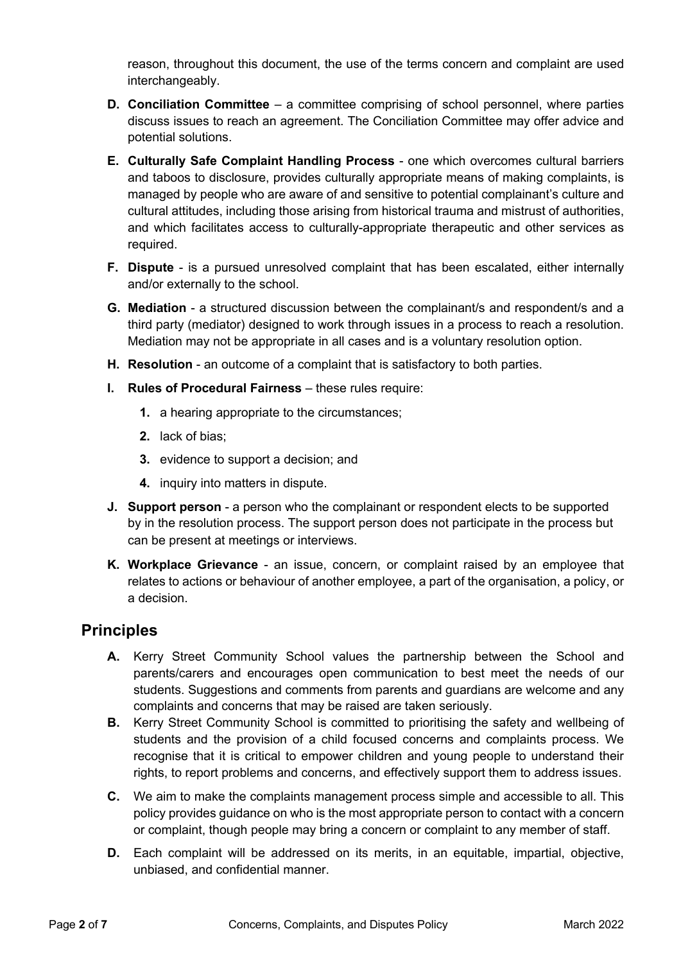reason, throughout this document, the use of the terms concern and complaint are used interchangeably.

- **D. Conciliation Committee**  a committee comprising of school personnel, where parties discuss issues to reach an agreement. The Conciliation Committee may offer advice and potential solutions.
- **E. Culturally Safe Complaint Handling Process**  one which overcomes cultural barriers and taboos to disclosure, provides culturally appropriate means of making complaints, is managed by people who are aware of and sensitive to potential complainant's culture and cultural attitudes, including those arising from historical trauma and mistrust of authorities, and which facilitates access to culturally-appropriate therapeutic and other services as required.
- **F. Dispute** is a pursued unresolved complaint that has been escalated, either internally and/or externally to the school.
- **G. Mediation**  a structured discussion between the complainant/s and respondent/s and a third party (mediator) designed to work through issues in a process to reach a resolution. Mediation may not be appropriate in all cases and is a voluntary resolution option.
- **H. Resolution** an outcome of a complaint that is satisfactory to both parties.
- **I. Rules of Procedural Fairness** these rules require:
	- **1.** a hearing appropriate to the circumstances;
	- **2.** lack of bias;
	- **3.** evidence to support a decision; and
	- **4.** inquiry into matters in dispute.
- **J. Support person**  a person who the complainant or respondent elects to be supported by in the resolution process. The support person does not participate in the process but can be present at meetings or interviews.
- **K. Workplace Grievance** an issue, concern, or complaint raised by an employee that relates to actions or behaviour of another employee, a part of the organisation, a policy, or a decision.

# **Principles**

- **A.** Kerry Street Community School values the partnership between the School and parents/carers and encourages open communication to best meet the needs of our students. Suggestions and comments from parents and guardians are welcome and any complaints and concerns that may be raised are taken seriously.
- **B.** Kerry Street Community School is committed to prioritising the safety and wellbeing of students and the provision of a child focused concerns and complaints process. We recognise that it is critical to empower children and young people to understand their rights, to report problems and concerns, and effectively support them to address issues.
- **C.** We aim to make the complaints management process simple and accessible to all. This policy provides guidance on who is the most appropriate person to contact with a concern or complaint, though people may bring a concern or complaint to any member of staff.
- **D.** Each complaint will be addressed on its merits, in an equitable, impartial, objective, unbiased, and confidential manner.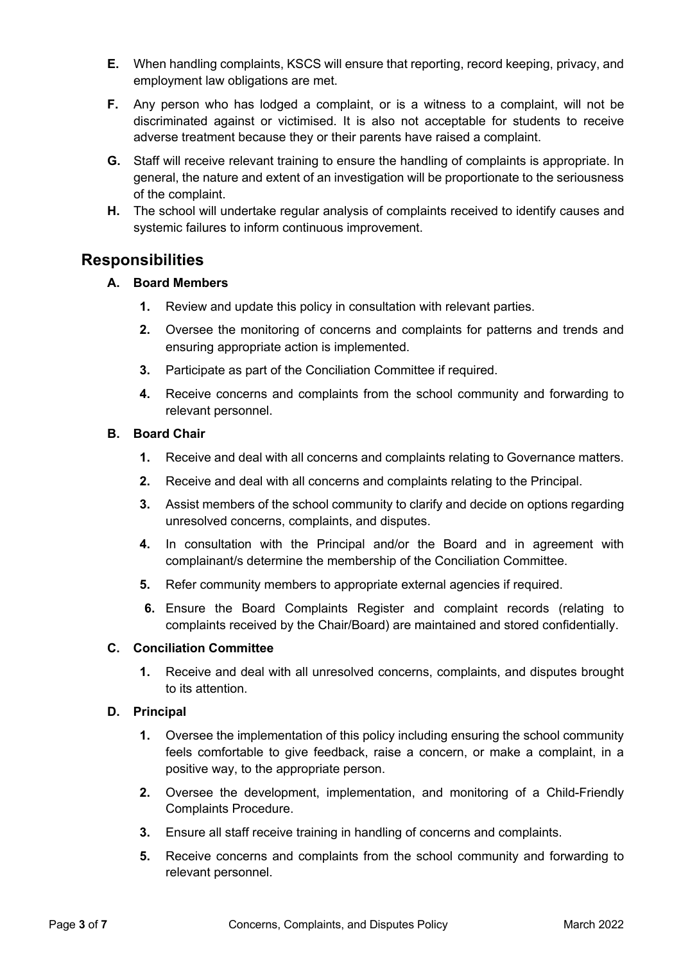- **E.** When handling complaints, KSCS will ensure that reporting, record keeping, privacy, and employment law obligations are met.
- **F.** Any person who has lodged a complaint, or is a witness to a complaint, will not be discriminated against or victimised. It is also not acceptable for students to receive adverse treatment because they or their parents have raised a complaint.
- **G.** Staff will receive relevant training to ensure the handling of complaints is appropriate. In general, the nature and extent of an investigation will be proportionate to the seriousness of the complaint.
- **H.** The school will undertake regular analysis of complaints received to identify causes and systemic failures to inform continuous improvement.

# **Responsibilities**

#### **A. Board Members**

- **1.** Review and update this policy in consultation with relevant parties.
- **2.** Oversee the monitoring of concerns and complaints for patterns and trends and ensuring appropriate action is implemented.
- **3.** Participate as part of the Conciliation Committee if required.
- **4.** Receive concerns and complaints from the school community and forwarding to relevant personnel.

#### **B. Board Chair**

- **1.** Receive and deal with all concerns and complaints relating to Governance matters.
- **2.** Receive and deal with all concerns and complaints relating to the Principal.
- **3.** Assist members of the school community to clarify and decide on options regarding unresolved concerns, complaints, and disputes.
- **4.** In consultation with the Principal and/or the Board and in agreement with complainant/s determine the membership of the Conciliation Committee.
- **5.** Refer community members to appropriate external agencies if required.
- **6.** Ensure the Board Complaints Register and complaint records (relating to complaints received by the Chair/Board) are maintained and stored confidentially.

#### **C. Conciliation Committee**

**1.** Receive and deal with all unresolved concerns, complaints, and disputes brought to its attention.

#### **D. Principal**

- **1.** Oversee the implementation of this policy including ensuring the school community feels comfortable to give feedback, raise a concern, or make a complaint, in a positive way, to the appropriate person.
- **2.** Oversee the development, implementation, and monitoring of a Child-Friendly Complaints Procedure.
- **3.** Ensure all staff receive training in handling of concerns and complaints.
- **5.** Receive concerns and complaints from the school community and forwarding to relevant personnel.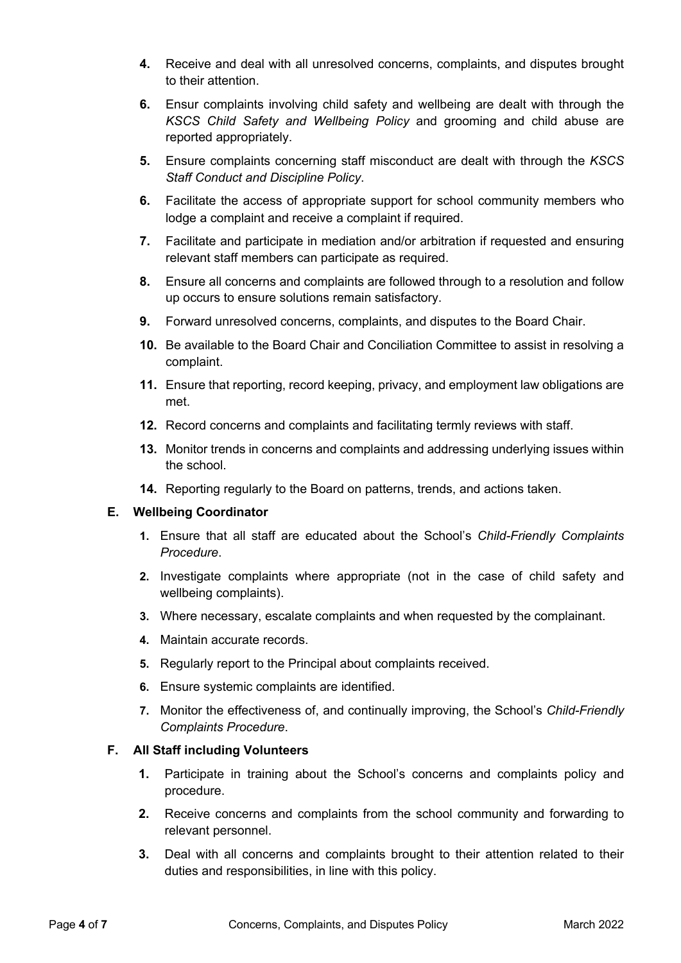- **4.** Receive and deal with all unresolved concerns, complaints, and disputes brought to their attention.
- **6.** Ensur complaints involving child safety and wellbeing are dealt with through the *KSCS Child Safety and Wellbeing Policy* and grooming and child abuse are reported appropriately.
- **5.** Ensure complaints concerning staff misconduct are dealt with through the *KSCS Staff Conduct and Discipline Policy*.
- **6.** Facilitate the access of appropriate support for school community members who lodge a complaint and receive a complaint if required.
- **7.** Facilitate and participate in mediation and/or arbitration if requested and ensuring relevant staff members can participate as required.
- **8.** Ensure all concerns and complaints are followed through to a resolution and follow up occurs to ensure solutions remain satisfactory.
- **9.** Forward unresolved concerns, complaints, and disputes to the Board Chair.
- **10.** Be available to the Board Chair and Conciliation Committee to assist in resolving a complaint.
- **11.** Ensure that reporting, record keeping, privacy, and employment law obligations are met.
- **12.** Record concerns and complaints and facilitating termly reviews with staff.
- **13.** Monitor trends in concerns and complaints and addressing underlying issues within the school.
- **14.** Reporting regularly to the Board on patterns, trends, and actions taken.

#### **E. Wellbeing Coordinator**

- **1.** Ensure that all staff are educated about the School's *Child-Friendly Complaints Procedure*.
- **2.** Investigate complaints where appropriate (not in the case of child safety and wellbeing complaints).
- **3.** Where necessary, escalate complaints and when requested by the complainant.
- **4.** Maintain accurate records.
- **5.** Regularly report to the Principal about complaints received.
- **6.** Ensure systemic complaints are identified.
- **7.** Monitor the effectiveness of, and continually improving, the School's *Child-Friendly Complaints Procedure*.

#### **F. All Staff including Volunteers**

- **1.** Participate in training about the School's concerns and complaints policy and procedure.
- **2.** Receive concerns and complaints from the school community and forwarding to relevant personnel.
- **3.** Deal with all concerns and complaints brought to their attention related to their duties and responsibilities, in line with this policy.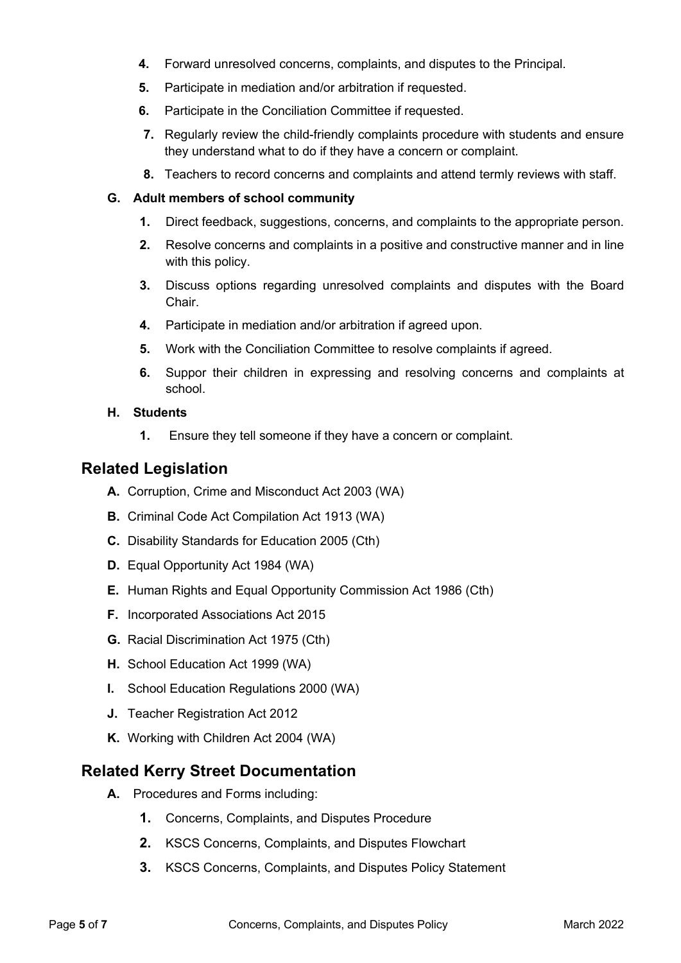- **4.** Forward unresolved concerns, complaints, and disputes to the Principal.
- **5.** Participate in mediation and/or arbitration if requested.
- **6.** Participate in the Conciliation Committee if requested.
- **7.** Regularly review the child-friendly complaints procedure with students and ensure they understand what to do if they have a concern or complaint.
- **8.** Teachers to record concerns and complaints and attend termly reviews with staff.

#### **G. Adult members of school community**

- **1.** Direct feedback, suggestions, concerns, and complaints to the appropriate person.
- **2.** Resolve concerns and complaints in a positive and constructive manner and in line with this policy.
- **3.** Discuss options regarding unresolved complaints and disputes with the Board Chair.
- **4.** Participate in mediation and/or arbitration if agreed upon.
- **5.** Work with the Conciliation Committee to resolve complaints if agreed.
- **6.** Suppor their children in expressing and resolving concerns and complaints at school.
- **H. Students** 
	- **1.** Ensure they tell someone if they have a concern or complaint.

### **Related Legislation**

- **A.** Corruption, Crime and Misconduct Act 2003 (WA)
- **B.** Criminal Code Act Compilation Act 1913 (WA)
- **C.** Disability Standards for Education 2005 (Cth)
- **D.** Equal Opportunity Act 1984 (WA)
- **E.** Human Rights and Equal Opportunity Commission Act 1986 (Cth)
- **F.** Incorporated Associations Act 2015
- **G.** Racial Discrimination Act 1975 (Cth)
- **H.** School Education Act 1999 (WA)
- **I.** School Education Regulations 2000 (WA)
- **J.** Teacher Registration Act 2012
- **K.** Working with Children Act 2004 (WA)

### **Related Kerry Street Documentation**

- **A.** Procedures and Forms including:
	- **1.** Concerns, Complaints, and Disputes Procedure
	- **2.** KSCS Concerns, Complaints, and Disputes Flowchart
	- **3.** KSCS Concerns, Complaints, and Disputes Policy Statement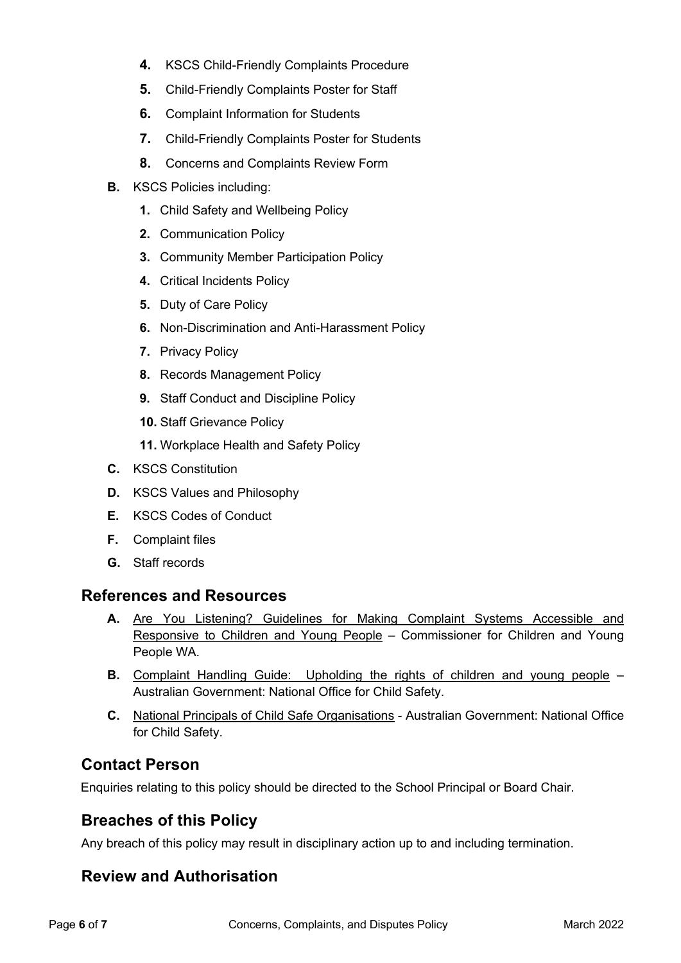- **4.** KSCS Child-Friendly Complaints Procedure
- **5.** Child-Friendly Complaints Poster for Staff
- **6.** Complaint Information for Students
- **7.** Child-Friendly Complaints Poster for Students
- **8.** Concerns and Complaints Review Form
- **B.** KSCS Policies including:
	- **1.** Child Safety and Wellbeing Policy
	- **2.** Communication Policy
	- **3.** Community Member Participation Policy
	- **4.** Critical Incidents Policy
	- **5.** Duty of Care Policy
	- **6.** Non-Discrimination and Anti-Harassment Policy
	- **7.** Privacy Policy
	- **8.** Records Management Policy
	- **9.** Staff Conduct and Discipline Policy
	- **10.** Staff Grievance Policy
	- **11.** Workplace Health and Safety Policy
- **C.** KSCS Constitution
- **D.** KSCS Values and Philosophy
- **E.** KSCS Codes of Conduct
- **F.** Complaint files
- **G.** Staff records

# **References and Resources**

- **A.** Are You Listening? Guidelines for Making Complaint Systems Accessible and Responsive to Children and Young People – Commissioner for Children and Young People WA.
- **B.** Complaint Handling Guide: Upholding the rights of children and young people Australian Government: National Office for Child Safety.
- **C.** National Principals of Child Safe Organisations Australian Government: National Office for Child Safety.

# **Contact Person**

Enquiries relating to this policy should be directed to the School Principal or Board Chair.

# **Breaches of this Policy**

Any breach of this policy may result in disciplinary action up to and including termination.

# **Review and Authorisation**